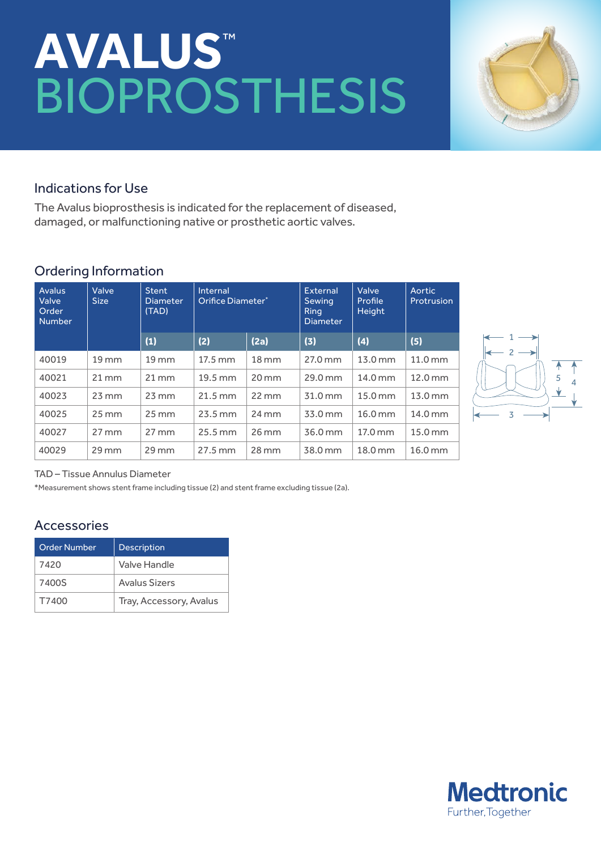# **Avalus**™ Bioprosthesis



#### Indications for Use

The Avalus bioprosthesis is indicated for the replacement of diseased, damaged, or malfunctioning native or prosthetic aortic valves.

### Ordering Information

| <b>Avalus</b><br>Valve<br>Order<br><b>Number</b> | Valve<br><b>Size</b> | <b>Stent</b><br><b>Diameter</b><br>(TAD) | Internal<br>Orifice Diameter* |                     | External<br>Sewing<br><b>Ring</b><br><b>Diameter</b> | Valve<br>Profile<br>Height | Aortic<br>Protrusion |
|--------------------------------------------------|----------------------|------------------------------------------|-------------------------------|---------------------|------------------------------------------------------|----------------------------|----------------------|
|                                                  |                      | (1)                                      | (2)                           | (2a)                | (3)                                                  | (4)                        | (5)                  |
| 40019                                            | $19 \, \mathrm{mm}$  | $19$ mm                                  | 17.5 mm                       | $18 \, \mathrm{mm}$ | 27.0 mm                                              | 13.0 mm                    | $11.0 \text{ mm}$    |
| 40021                                            | $21 \, \text{mm}$    | $21 \, \text{mm}$                        | 19.5 mm                       | $20 \,\mathrm{mm}$  | 29.0 mm                                              | 14.0 mm                    | 12.0 mm              |
| 40023                                            | $23 \,\mathrm{mm}$   | $23 \, \text{mm}$                        | $21.5 \text{ mm}$             | $22 \, \text{mm}$   | 31.0 mm                                              | 15.0 mm                    | 13.0 mm              |
| 40025                                            | $25 \,\mathrm{mm}$   | $25 \, \text{mm}$                        | $23.5 \text{ mm}$             | $24 \,\mathrm{mm}$  | 33.0 mm                                              | 16.0 mm                    | 14.0 mm              |
| 40027                                            | $27 \, \text{mm}$    | $27 \, \text{mm}$                        | $25.5 \text{ mm}$             | $26$ mm             | 36.0 mm                                              | 17.0 mm                    | 15.0 mm              |
| 40029                                            | $29$ mm              | $29$ mm                                  | 27.5 mm                       | $28 \,\mathrm{mm}$  | 38.0 mm                                              | 18.0 mm                    | 16.0 mm              |



#### TAD – Tissue Annulus Diameter

\*Measurement shows stent frame including tissue (2) and stent frame excluding tissue (2a).

#### Accessories

| <b>Order Number</b> | <b>Description</b>      |
|---------------------|-------------------------|
| 7420                | Valve Handle            |
| 7400S               | <b>Avalus Sizers</b>    |
| T7400               | Tray, Accessory, Avalus |